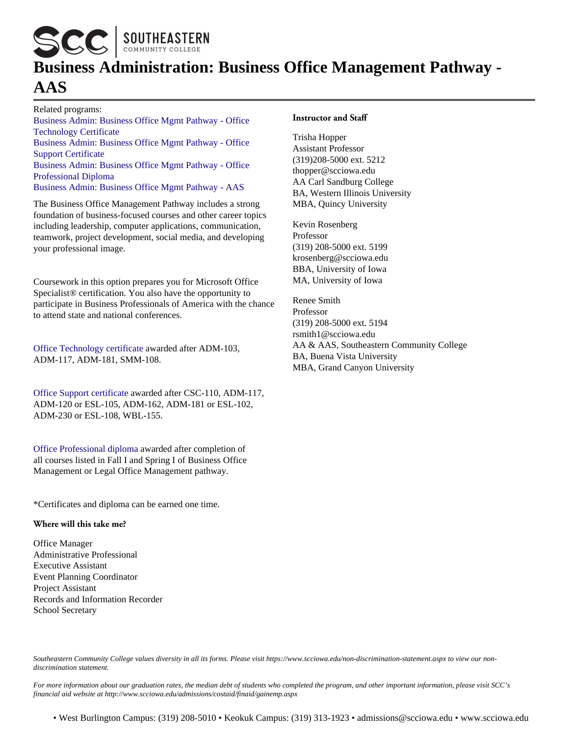SCC SOUTHEASTERN

# **Business Administration: Business Office Management Pathway - AAS**

Related programs: [Business Admin: Business Office Mgmt Pathway - Office](https://programs.scciowa.edu/2022-2023/business-administration-bus-office-management-office-tech-cert.aspx) [Technology Certificate](https://programs.scciowa.edu/2022-2023/business-administration-bus-office-management-office-tech-cert.aspx) [Business Admin: Business Office Mgmt Pathway - Office](https://programs.scciowa.edu/2022-2023/business-administration-bus-office-management-office-support-cert.aspx) [Support Certificate](https://programs.scciowa.edu/2022-2023/business-administration-bus-office-management-office-support-cert.aspx) [Business Admin: Business Office Mgmt Pathway - Office](https://programs.scciowa.edu/2022-2023/business-administration-business-office-management-office-pro-diploma.aspx) [Professional Diploma](https://programs.scciowa.edu/2022-2023/business-administration-business-office-management-office-pro-diploma.aspx) [Business Admin: Business Office Mgmt Pathway - AAS](https://programs.scciowa.edu/2022-2023/business-administration-business-office-management-aas.aspx)

The Business Office Management Pathway includes a strong foundation of business-focused courses and other career topics including leadership, computer applications, communication, teamwork, project development, social media, and developing your professional image.

Coursework in this option prepares you for Microsoft Office Specialist® certification. You also have the opportunity to participate in Business Professionals of America with the chance to attend state and national conferences.

[Office Technology certificate](https://programs.scciowa.edu/2022-2023/business-administration-bus-office-management-office-tech-cert.aspx) awarded after ADM-103, ADM-117, ADM-181, SMM-108.

[Office Support certificate](https://programs.scciowa.edu/2022-2023/business-administration-bus-office-management-office-support-cert.aspx) awarded after CSC-110, ADM-117, ADM-120 or ESL-105, ADM-162, ADM-181 or ESL-102, ADM-230 or ESL-108, WBL-155.

[Office Professional diploma](https://programs.scciowa.edu/2022-2023/business-administration-business-office-management-office-pro-diploma.aspx) awarded after completion of all courses listed in Fall I and Spring I of Business Office Management or Legal Office Management pathway.

\*Certificates and diploma can be earned one time.

#### **Where will this take me?**

Office Manager Administrative Professional Executive Assistant Event Planning Coordinator Project Assistant Records and Information Recorder School Secretary

#### **Instructor and Staff**

Trisha Hopper Assistant Professor (319)208-5000 ext. 5212 thopper@scciowa.edu AA Carl Sandburg College BA, Western Illinois University MBA, Quincy University

Kevin Rosenberg Professor (319) 208-5000 ext. 5199 krosenberg@scciowa.edu BBA, University of Iowa MA, University of Iowa

Renee Smith Professor (319) 208-5000 ext. 5194 rsmith1@scciowa.edu AA & AAS, Southeastern Community College BA, Buena Vista University MBA, Grand Canyon University

*Southeastern Community College values diversity in all its forms. Please visit https://www.scciowa.edu/non-discrimination-statement.aspx to view our nondiscrimination statement.*

*For more information about our graduation rates, the median debt of students who completed the program, and other important information, please visit SCC's financial aid website at http://www.scciowa.edu/admissions/costaid/finaid/gainemp.aspx*

• West Burlington Campus: (319) 208-5010 • Keokuk Campus: (319) 313-1923 • admissions@scciowa.edu • www.scciowa.edu